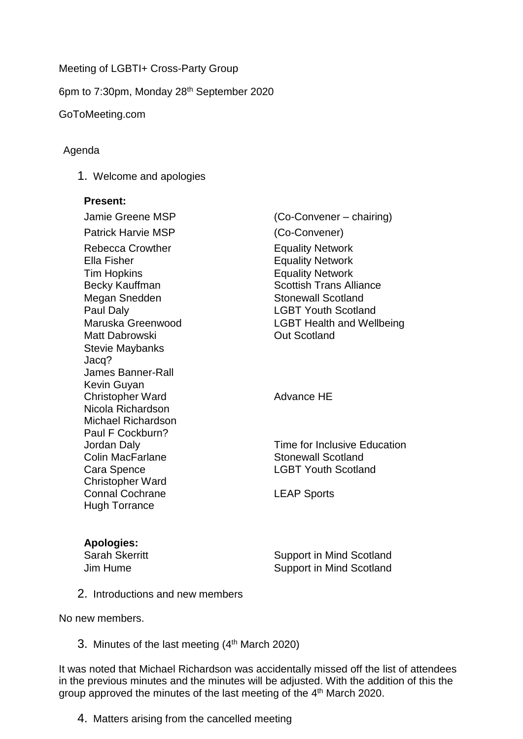## Meeting of LGBTI+ Cross-Party Group

6pm to 7:30pm, Monday 28th September 2020

#### GoToMeeting.com

## Agenda

1. Welcome and apologies

#### **Present:**

Jamie Greene MSP (Co-Convener – chairing) Patrick Harvie MSP (Co-Convener) Rebecca Crowther **Equality Network** Ella Fisher **Equality Network** Tim Hopkins Becky Kauffman Equality Network Scottish Trans Alliance Megan Snedden Stonewall Scotland Paul Daly **Data Community** LGBT Youth Scotland Maruska Greenwood **LGBT** Health and Wellbeing Matt Dabrowski **Carlos Contract Contract Contract Contract Contract Contract Contract Contract Contract Contract Contract Contract Contract Contract Contract Contract Contract Contract Contract Contract Contract Contract C** Stevie Maybanks Jacq? James Banner-Rall Kevin Guyan Christopher Ward Nicola Richardson Michael Richardson Paul F Cockburn? Jordan Daly Colin MacFarlane Cara Spence Christopher Ward Connal Cochrane Hugh Torrance Advance HE Time for Inclusive Education Stonewall Scotland LGBT Youth Scotland LEAP Sports

## **Apologies:**

Sarah Skerritt Sarah Skerritt Support in Mind Scotland Jim Hume Support in Mind Scotland

2. Introductions and new members

No new members.

3. Minutes of the last meeting (4<sup>th</sup> March 2020)

It was noted that Michael Richardson was accidentally missed off the list of attendees in the previous minutes and the minutes will be adjusted. With the addition of this the group approved the minutes of the last meeting of the 4<sup>th</sup> March 2020.

4. Matters arising from the cancelled meeting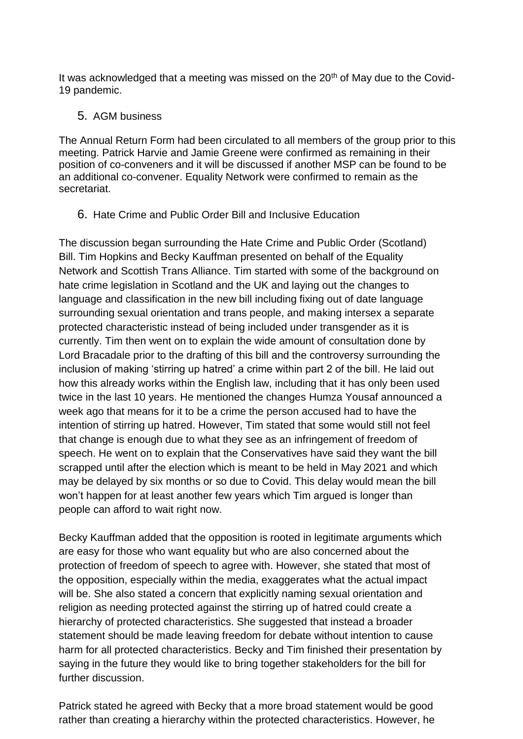It was acknowledged that a meeting was missed on the 20<sup>th</sup> of May due to the Covid-19 pandemic.

# 5. AGM business

The Annual Return Form had been circulated to all members of the group prior to this meeting. Patrick Harvie and Jamie Greene were confirmed as remaining in their position of co-conveners and it will be discussed if another MSP can be found to be an additional co-convener. Equality Network were confirmed to remain as the secretariat.

6. Hate Crime and Public Order Bill and Inclusive Education

The discussion began surrounding the Hate Crime and Public Order (Scotland) Bill. Tim Hopkins and Becky Kauffman presented on behalf of the Equality Network and Scottish Trans Alliance. Tim started with some of the background on hate crime legislation in Scotland and the UK and laying out the changes to language and classification in the new bill including fixing out of date language surrounding sexual orientation and trans people, and making intersex a separate protected characteristic instead of being included under transgender as it is currently. Tim then went on to explain the wide amount of consultation done by Lord Bracadale prior to the drafting of this bill and the controversy surrounding the inclusion of making 'stirring up hatred' a crime within part 2 of the bill. He laid out how this already works within the English law, including that it has only been used twice in the last 10 years. He mentioned the changes Humza Yousaf announced a week ago that means for it to be a crime the person accused had to have the intention of stirring up hatred. However, Tim stated that some would still not feel that change is enough due to what they see as an infringement of freedom of speech. He went on to explain that the Conservatives have said they want the bill scrapped until after the election which is meant to be held in May 2021 and which may be delayed by six months or so due to Covid. This delay would mean the bill won't happen for at least another few years which Tim argued is longer than people can afford to wait right now.

Becky Kauffman added that the opposition is rooted in legitimate arguments which are easy for those who want equality but who are also concerned about the protection of freedom of speech to agree with. However, she stated that most of the opposition, especially within the media, exaggerates what the actual impact will be. She also stated a concern that explicitly naming sexual orientation and religion as needing protected against the stirring up of hatred could create a hierarchy of protected characteristics. She suggested that instead a broader statement should be made leaving freedom for debate without intention to cause harm for all protected characteristics. Becky and Tim finished their presentation by saying in the future they would like to bring together stakeholders for the bill for further discussion.

Patrick stated he agreed with Becky that a more broad statement would be good rather than creating a hierarchy within the protected characteristics. However, he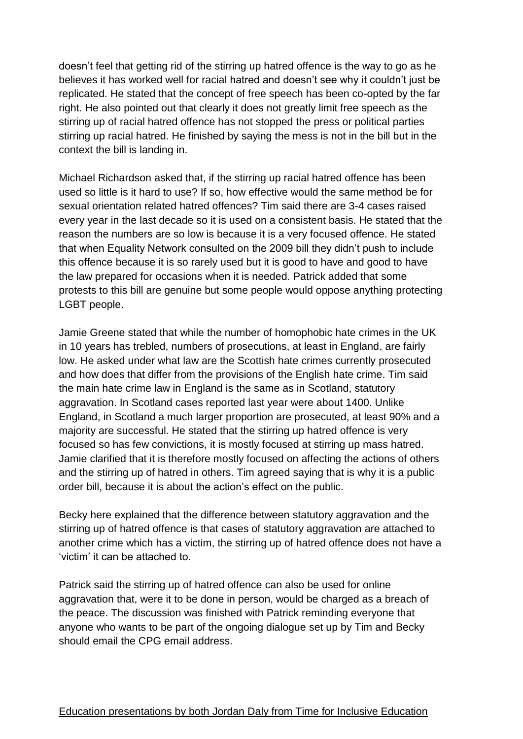doesn't feel that getting rid of the stirring up hatred offence is the way to go as he believes it has worked well for racial hatred and doesn't see why it couldn't just be replicated. He stated that the concept of free speech has been co-opted by the far right. He also pointed out that clearly it does not greatly limit free speech as the stirring up of racial hatred offence has not stopped the press or political parties stirring up racial hatred. He finished by saying the mess is not in the bill but in the context the bill is landing in.

Michael Richardson asked that, if the stirring up racial hatred offence has been used so little is it hard to use? If so, how effective would the same method be for sexual orientation related hatred offences? Tim said there are 3-4 cases raised every year in the last decade so it is used on a consistent basis. He stated that the reason the numbers are so low is because it is a very focused offence. He stated that when Equality Network consulted on the 2009 bill they didn't push to include this offence because it is so rarely used but it is good to have and good to have the law prepared for occasions when it is needed. Patrick added that some protests to this bill are genuine but some people would oppose anything protecting LGBT people.

Jamie Greene stated that while the number of homophobic hate crimes in the UK in 10 years has trebled, numbers of prosecutions, at least in England, are fairly low. He asked under what law are the Scottish hate crimes currently prosecuted and how does that differ from the provisions of the English hate crime. Tim said the main hate crime law in England is the same as in Scotland, statutory aggravation. In Scotland cases reported last year were about 1400. Unlike England, in Scotland a much larger proportion are prosecuted, at least 90% and a majority are successful. He stated that the stirring up hatred offence is very focused so has few convictions, it is mostly focused at stirring up mass hatred. Jamie clarified that it is therefore mostly focused on affecting the actions of others and the stirring up of hatred in others. Tim agreed saying that is why it is a public order bill, because it is about the action's effect on the public.

Becky here explained that the difference between statutory aggravation and the stirring up of hatred offence is that cases of statutory aggravation are attached to another crime which has a victim, the stirring up of hatred offence does not have a 'victim' it can be attached to.

Patrick said the stirring up of hatred offence can also be used for online aggravation that, were it to be done in person, would be charged as a breach of the peace. The discussion was finished with Patrick reminding everyone that anyone who wants to be part of the ongoing dialogue set up by Tim and Becky should email the CPG email address.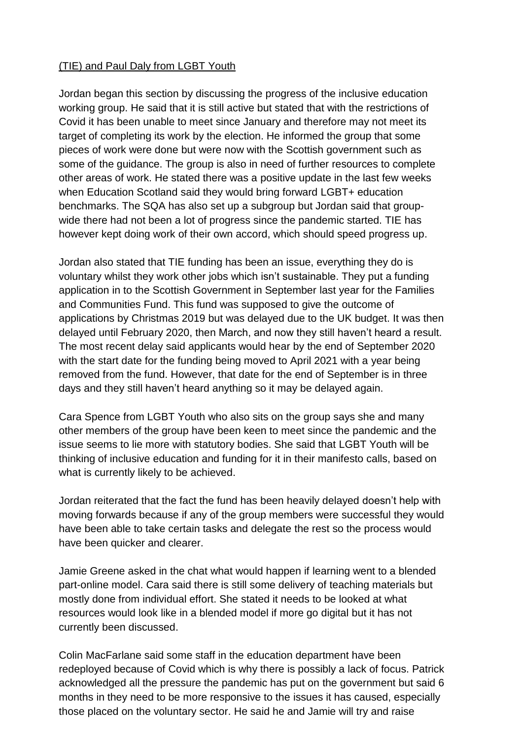# (TIE) and Paul Daly from LGBT Youth

Jordan began this section by discussing the progress of the inclusive education working group. He said that it is still active but stated that with the restrictions of Covid it has been unable to meet since January and therefore may not meet its target of completing its work by the election. He informed the group that some pieces of work were done but were now with the Scottish government such as some of the guidance. The group is also in need of further resources to complete other areas of work. He stated there was a positive update in the last few weeks when Education Scotland said they would bring forward LGBT+ education benchmarks. The SQA has also set up a subgroup but Jordan said that groupwide there had not been a lot of progress since the pandemic started. TIE has however kept doing work of their own accord, which should speed progress up.

Jordan also stated that TIE funding has been an issue, everything they do is voluntary whilst they work other jobs which isn't sustainable. They put a funding application in to the Scottish Government in September last year for the Families and Communities Fund. This fund was supposed to give the outcome of applications by Christmas 2019 but was delayed due to the UK budget. It was then delayed until February 2020, then March, and now they still haven't heard a result. The most recent delay said applicants would hear by the end of September 2020 with the start date for the funding being moved to April 2021 with a year being removed from the fund. However, that date for the end of September is in three days and they still haven't heard anything so it may be delayed again.

Cara Spence from LGBT Youth who also sits on the group says she and many other members of the group have been keen to meet since the pandemic and the issue seems to lie more with statutory bodies. She said that LGBT Youth will be thinking of inclusive education and funding for it in their manifesto calls, based on what is currently likely to be achieved.

Jordan reiterated that the fact the fund has been heavily delayed doesn't help with moving forwards because if any of the group members were successful they would have been able to take certain tasks and delegate the rest so the process would have been quicker and clearer.

Jamie Greene asked in the chat what would happen if learning went to a blended part-online model. Cara said there is still some delivery of teaching materials but mostly done from individual effort. She stated it needs to be looked at what resources would look like in a blended model if more go digital but it has not currently been discussed.

Colin MacFarlane said some staff in the education department have been redeployed because of Covid which is why there is possibly a lack of focus. Patrick acknowledged all the pressure the pandemic has put on the government but said 6 months in they need to be more responsive to the issues it has caused, especially those placed on the voluntary sector. He said he and Jamie will try and raise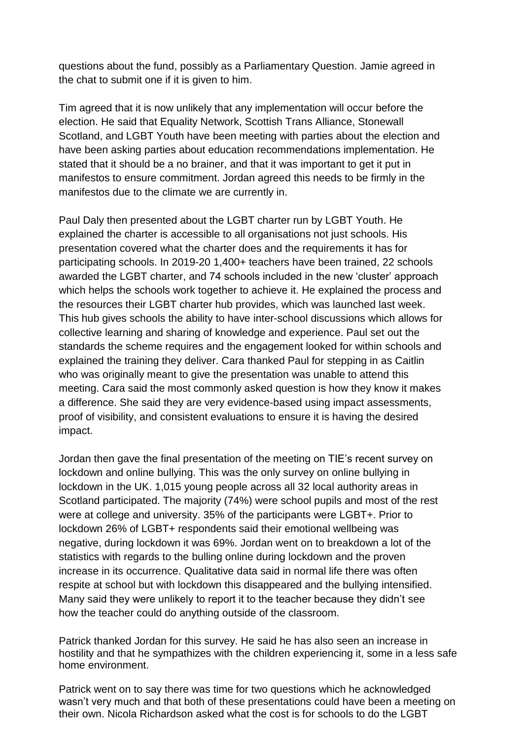questions about the fund, possibly as a Parliamentary Question. Jamie agreed in the chat to submit one if it is given to him.

Tim agreed that it is now unlikely that any implementation will occur before the election. He said that Equality Network, Scottish Trans Alliance, Stonewall Scotland, and LGBT Youth have been meeting with parties about the election and have been asking parties about education recommendations implementation. He stated that it should be a no brainer, and that it was important to get it put in manifestos to ensure commitment. Jordan agreed this needs to be firmly in the manifestos due to the climate we are currently in.

Paul Daly then presented about the LGBT charter run by LGBT Youth. He explained the charter is accessible to all organisations not just schools. His presentation covered what the charter does and the requirements it has for participating schools. In 2019-20 1,400+ teachers have been trained, 22 schools awarded the LGBT charter, and 74 schools included in the new 'cluster' approach which helps the schools work together to achieve it. He explained the process and the resources their LGBT charter hub provides, which was launched last week. This hub gives schools the ability to have inter-school discussions which allows for collective learning and sharing of knowledge and experience. Paul set out the standards the scheme requires and the engagement looked for within schools and explained the training they deliver. Cara thanked Paul for stepping in as Caitlin who was originally meant to give the presentation was unable to attend this meeting. Cara said the most commonly asked question is how they know it makes a difference. She said they are very evidence-based using impact assessments, proof of visibility, and consistent evaluations to ensure it is having the desired impact.

Jordan then gave the final presentation of the meeting on TIE's recent survey on lockdown and online bullying. This was the only survey on online bullying in lockdown in the UK. 1,015 young people across all 32 local authority areas in Scotland participated. The majority (74%) were school pupils and most of the rest were at college and university. 35% of the participants were LGBT+. Prior to lockdown 26% of LGBT+ respondents said their emotional wellbeing was negative, during lockdown it was 69%. Jordan went on to breakdown a lot of the statistics with regards to the bulling online during lockdown and the proven increase in its occurrence. Qualitative data said in normal life there was often respite at school but with lockdown this disappeared and the bullying intensified. Many said they were unlikely to report it to the teacher because they didn't see how the teacher could do anything outside of the classroom.

Patrick thanked Jordan for this survey. He said he has also seen an increase in hostility and that he sympathizes with the children experiencing it, some in a less safe home environment.

Patrick went on to say there was time for two questions which he acknowledged wasn't very much and that both of these presentations could have been a meeting on their own. Nicola Richardson asked what the cost is for schools to do the LGBT